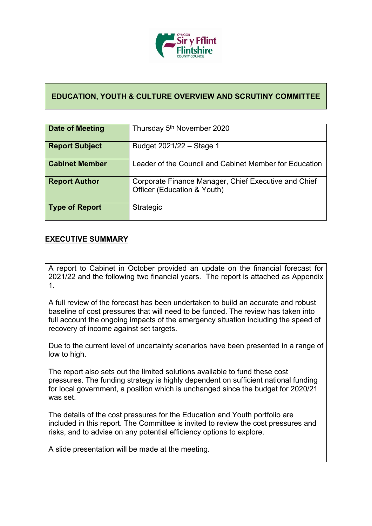

#### **EDUCATION, YOUTH & CULTURE OVERVIEW AND SCRUTINY COMMITTEE**

| Date of Meeting       | Thursday 5 <sup>th</sup> November 2020                                              |
|-----------------------|-------------------------------------------------------------------------------------|
| <b>Report Subject</b> | Budget 2021/22 - Stage 1                                                            |
| <b>Cabinet Member</b> | Leader of the Council and Cabinet Member for Education                              |
| <b>Report Author</b>  | Corporate Finance Manager, Chief Executive and Chief<br>Officer (Education & Youth) |
| Type of Report        | Strategic                                                                           |

#### **EXECUTIVE SUMMARY**

A report to Cabinet in October provided an update on the financial forecast for 2021/22 and the following two financial years. The report is attached as Appendix 1.

A full review of the forecast has been undertaken to build an accurate and robust baseline of cost pressures that will need to be funded. The review has taken into full account the ongoing impacts of the emergency situation including the speed of recovery of income against set targets.

Due to the current level of uncertainty scenarios have been presented in a range of low to high.

The report also sets out the limited solutions available to fund these cost pressures. The funding strategy is highly dependent on sufficient national funding for local government, a position which is unchanged since the budget for 2020/21 was set.

The details of the cost pressures for the Education and Youth portfolio are included in this report. The Committee is invited to review the cost pressures and risks, and to advise on any potential efficiency options to explore.

A slide presentation will be made at the meeting.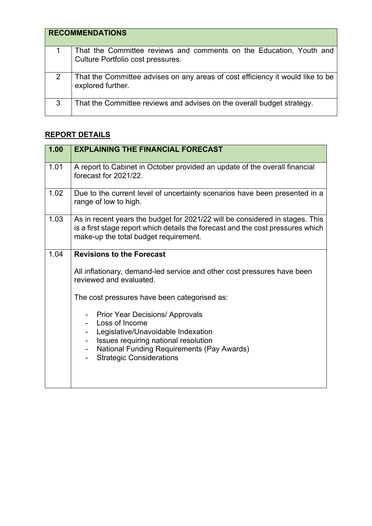|   | <b>RECOMMENDATIONS</b>                                                                                   |
|---|----------------------------------------------------------------------------------------------------------|
|   | That the Committee reviews and comments on the Education, Youth and<br>Culture Portfolio cost pressures. |
|   | That the Committee advises on any areas of cost efficiency it would like to be<br>explored further.      |
| 3 | That the Committee reviews and advises on the overall budget strategy.                                   |

# **REPORT DETAILS**

| 1.00 | <b>EXPLAINING THE FINANCIAL FORECAST</b>                                                                                                                                                                                                                                                                                                                                                                          |
|------|-------------------------------------------------------------------------------------------------------------------------------------------------------------------------------------------------------------------------------------------------------------------------------------------------------------------------------------------------------------------------------------------------------------------|
| 1.01 | A report to Cabinet in October provided an update of the overall financial<br>forecast for 2021/22.                                                                                                                                                                                                                                                                                                               |
| 1.02 | Due to the current level of uncertainty scenarios have been presented in a<br>range of low to high.                                                                                                                                                                                                                                                                                                               |
| 1.03 | As in recent years the budget for 2021/22 will be considered in stages. This<br>is a first stage report which details the forecast and the cost pressures which<br>make-up the total budget requirement.                                                                                                                                                                                                          |
| 1.04 | <b>Revisions to the Forecast</b><br>All inflationary, demand-led service and other cost pressures have been<br>reviewed and evaluated.<br>The cost pressures have been categorised as:<br><b>Prior Year Decisions/ Approvals</b><br>Loss of Income<br>Legislative/Unavoidable Indexation<br>Issues requiring national resolution<br>National Funding Requirements (Pay Awards)<br><b>Strategic Considerations</b> |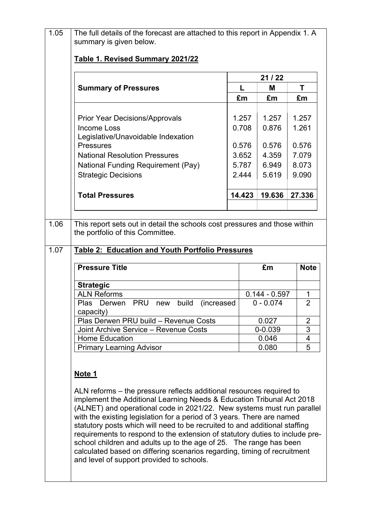| <b>Summary of Pressures</b>                                                                                                                                                                        |            | 21/22                          |                     |
|----------------------------------------------------------------------------------------------------------------------------------------------------------------------------------------------------|------------|--------------------------------|---------------------|
|                                                                                                                                                                                                    | L          | Μ                              | Τ                   |
|                                                                                                                                                                                                    | £m         | £m                             | £m                  |
| <b>Prior Year Decisions/Approvals</b>                                                                                                                                                              | 1.257      | 1.257                          | 1.257               |
| <b>Income Loss</b>                                                                                                                                                                                 | 0.708      | 0.876                          | 1.261               |
| Legislative/Unavoidable Indexation                                                                                                                                                                 |            |                                |                     |
| <b>Pressures</b>                                                                                                                                                                                   | 0.576      | 0.576                          | 0.576               |
| <b>National Resolution Pressures</b>                                                                                                                                                               | 3.652      | 4.359                          | 7.079               |
| National Funding Requirement (Pay)                                                                                                                                                                 | 5.787      | 6.949                          | 8.073               |
| <b>Strategic Decisions</b>                                                                                                                                                                         | 2.444      | 5.619                          | 9.090               |
| <b>Total Pressures</b>                                                                                                                                                                             | 14.423     | 19.636                         | 27.336              |
|                                                                                                                                                                                                    |            |                                |                     |
| This report sets out in detail the schools cost pressures and those within<br>the portfolio of this Committee.<br><b>Table 2: Education and Youth Portfolio Pressures</b><br><b>Pressure Title</b> |            | £m                             | <b>Note</b>         |
|                                                                                                                                                                                                    |            |                                |                     |
| <b>Strategic</b>                                                                                                                                                                                   |            |                                |                     |
| Derwen<br><b>PRU</b><br>build<br>new                                                                                                                                                               | (increased | $0.144 - 0.597$<br>$0 - 0.074$ | 1<br>$\overline{2}$ |
| <b>ALN Reforms</b><br>Plas<br>capacity)                                                                                                                                                            |            |                                |                     |
| Plas Derwen PRU build - Revenue Costs                                                                                                                                                              |            | 0.027                          | $\overline{2}$      |
| Joint Archive Service - Revenue Costs<br><b>Home Education</b>                                                                                                                                     |            | 0-0.039<br>0.046               | 3<br>4              |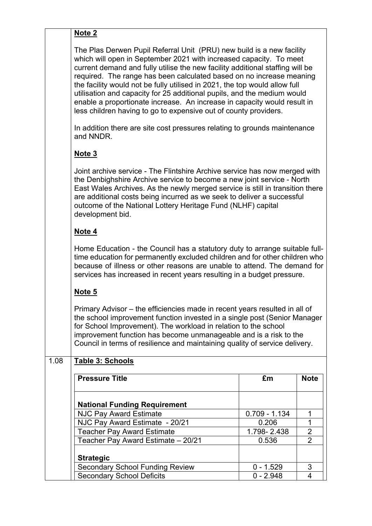|      | Note <sub>2</sub>                                                                                                                                                                                                                                                                                                                                                                                                                                                                                                                                                                                             |                 |                |
|------|---------------------------------------------------------------------------------------------------------------------------------------------------------------------------------------------------------------------------------------------------------------------------------------------------------------------------------------------------------------------------------------------------------------------------------------------------------------------------------------------------------------------------------------------------------------------------------------------------------------|-----------------|----------------|
|      | The Plas Derwen Pupil Referral Unit (PRU) new build is a new facility<br>which will open in September 2021 with increased capacity. To meet<br>current demand and fully utilise the new facility additional staffing will be<br>required. The range has been calculated based on no increase meaning<br>the facility would not be fully utilised in 2021, the top would allow full<br>utilisation and capacity for 25 additional pupils, and the medium would<br>enable a proportionate increase. An increase in capacity would result in<br>less children having to go to expensive out of county providers. |                 |                |
|      | In addition there are site cost pressures relating to grounds maintenance<br>and NNDR.                                                                                                                                                                                                                                                                                                                                                                                                                                                                                                                        |                 |                |
|      | Note <sub>3</sub>                                                                                                                                                                                                                                                                                                                                                                                                                                                                                                                                                                                             |                 |                |
|      | Joint archive service - The Flintshire Archive service has now merged with<br>the Denbighshire Archive service to become a new joint service - North<br>East Wales Archives. As the newly merged service is still in transition there<br>are additional costs being incurred as we seek to deliver a successful<br>outcome of the National Lottery Heritage Fund (NLHF) capital<br>development bid.                                                                                                                                                                                                           |                 |                |
|      | Note 4                                                                                                                                                                                                                                                                                                                                                                                                                                                                                                                                                                                                        |                 |                |
|      | Home Education - the Council has a statutory duty to arrange suitable full-<br>time education for permanently excluded children and for other children who<br>because of illness or other reasons are unable to attend. The demand for<br>services has increased in recent years resulting in a budget pressure.                                                                                                                                                                                                                                                                                              |                 |                |
|      | Note 5                                                                                                                                                                                                                                                                                                                                                                                                                                                                                                                                                                                                        |                 |                |
|      | Primary Advisor - the efficiencies made in recent years resulted in all of<br>the school improvement function invested in a single post (Senior Manager<br>for School Improvement). The workload in relation to the school<br>improvement function has become unmanageable and is a risk to the<br>Council in terms of resilience and maintaining quality of service delivery.                                                                                                                                                                                                                                |                 |                |
| 1.08 | Table 3: Schools                                                                                                                                                                                                                                                                                                                                                                                                                                                                                                                                                                                              |                 |                |
|      | <b>Pressure Title</b>                                                                                                                                                                                                                                                                                                                                                                                                                                                                                                                                                                                         | £m              | <b>Note</b>    |
|      | <b>National Funding Requirement</b>                                                                                                                                                                                                                                                                                                                                                                                                                                                                                                                                                                           |                 |                |
|      | <b>NJC Pay Award Estimate</b>                                                                                                                                                                                                                                                                                                                                                                                                                                                                                                                                                                                 | $0.709 - 1.134$ | 1              |
|      | NJC Pay Award Estimate - 20/21                                                                                                                                                                                                                                                                                                                                                                                                                                                                                                                                                                                | 0.206           | 1              |
|      | <b>Teacher Pay Award Estimate</b>                                                                                                                                                                                                                                                                                                                                                                                                                                                                                                                                                                             | 1.798-2.438     | $\overline{2}$ |
|      | Teacher Pay Award Estimate - 20/21                                                                                                                                                                                                                                                                                                                                                                                                                                                                                                                                                                            | 0.536           | $\overline{2}$ |
|      | <b>Strategic</b>                                                                                                                                                                                                                                                                                                                                                                                                                                                                                                                                                                                              |                 |                |
|      |                                                                                                                                                                                                                                                                                                                                                                                                                                                                                                                                                                                                               |                 |                |

Secondary School Funding Review | 0 - 1.529 | 3 Secondary School Deficits 0 - 2.948 4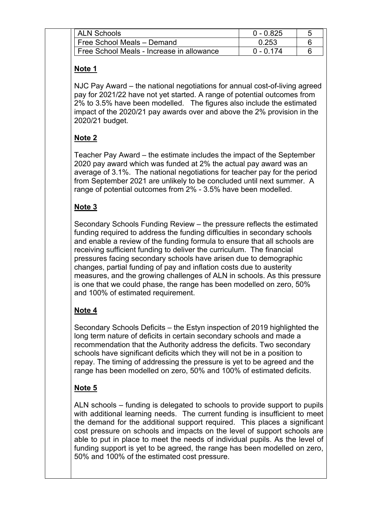| ALN Schools                               | $0 - 0.825$ |  |
|-------------------------------------------|-------------|--|
| Free School Meals - Demand                | 0.253       |  |
| Free School Meals - Increase in allowance | በ - በ 174   |  |

#### **Note 1**

NJC Pay Award – the national negotiations for annual cost-of-living agreed pay for 2021/22 have not yet started. A range of potential outcomes from 2% to 3.5% have been modelled. The figures also include the estimated impact of the 2020/21 pay awards over and above the 2% provision in the 2020/21 budget.

# **Note 2**

Teacher Pay Award – the estimate includes the impact of the September 2020 pay award which was funded at 2% the actual pay award was an average of 3.1%. The national negotiations for teacher pay for the period from September 2021 are unlikely to be concluded until next summer. A range of potential outcomes from 2% - 3.5% have been modelled.

# **Note 3**

Secondary Schools Funding Review – the pressure reflects the estimated funding required to address the funding difficulties in secondary schools and enable a review of the funding formula to ensure that all schools are receiving sufficient funding to deliver the curriculum. The financial pressures facing secondary schools have arisen due to demographic changes, partial funding of pay and inflation costs due to austerity measures, and the growing challenges of ALN in schools. As this pressure is one that we could phase, the range has been modelled on zero, 50% and 100% of estimated requirement.

# **Note 4**

Secondary Schools Deficits – the Estyn inspection of 2019 highlighted the long term nature of deficits in certain secondary schools and made a recommendation that the Authority address the deficits. Two secondary schools have significant deficits which they will not be in a position to repay. The timing of addressing the pressure is yet to be agreed and the range has been modelled on zero, 50% and 100% of estimated deficits.

# **Note 5**

ALN schools – funding is delegated to schools to provide support to pupils with additional learning needs. The current funding is insufficient to meet the demand for the additional support required. This places a significant cost pressure on schools and impacts on the level of support schools are able to put in place to meet the needs of individual pupils. As the level of funding support is yet to be agreed, the range has been modelled on zero, 50% and 100% of the estimated cost pressure.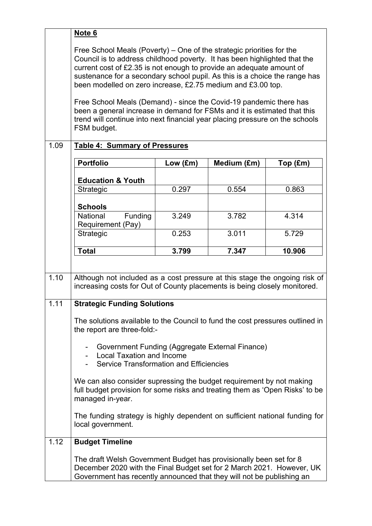|      | Note 6                                                                                                                                                                                                                                                                                                                                                                                                                                                                                                                                                                                                                   |                   |             |          |
|------|--------------------------------------------------------------------------------------------------------------------------------------------------------------------------------------------------------------------------------------------------------------------------------------------------------------------------------------------------------------------------------------------------------------------------------------------------------------------------------------------------------------------------------------------------------------------------------------------------------------------------|-------------------|-------------|----------|
|      | Free School Meals (Poverty) – One of the strategic priorities for the<br>Council is to address childhood poverty. It has been highlighted that the<br>current cost of £2.35 is not enough to provide an adequate amount of<br>sustenance for a secondary school pupil. As this is a choice the range has<br>been modelled on zero increase, £2.75 medium and £3.00 top.<br>Free School Meals (Demand) - since the Covid-19 pandemic there has<br>been a general increase in demand for FSMs and it is estimated that this<br>trend will continue into next financial year placing pressure on the schools<br>FSM budget. |                   |             |          |
| 1.09 | <b>Table 4: Summary of Pressures</b>                                                                                                                                                                                                                                                                                                                                                                                                                                                                                                                                                                                     |                   |             |          |
|      | <b>Portfolio</b>                                                                                                                                                                                                                                                                                                                                                                                                                                                                                                                                                                                                         | Low $(\text{Em})$ | Medium (£m) | Top (£m) |
|      |                                                                                                                                                                                                                                                                                                                                                                                                                                                                                                                                                                                                                          |                   |             |          |
|      | <b>Education &amp; Youth</b><br>Strategic                                                                                                                                                                                                                                                                                                                                                                                                                                                                                                                                                                                | 0.297             | 0.554       | 0.863    |
|      |                                                                                                                                                                                                                                                                                                                                                                                                                                                                                                                                                                                                                          |                   |             |          |
|      | <b>Schools</b><br>Funding<br>National                                                                                                                                                                                                                                                                                                                                                                                                                                                                                                                                                                                    | 3.249             | 3.782       | 4.314    |
|      | Requirement (Pay)                                                                                                                                                                                                                                                                                                                                                                                                                                                                                                                                                                                                        |                   |             |          |
|      | Strategic                                                                                                                                                                                                                                                                                                                                                                                                                                                                                                                                                                                                                | 0.253             | 3.011       | 5.729    |
|      | <b>Total</b>                                                                                                                                                                                                                                                                                                                                                                                                                                                                                                                                                                                                             | 3.799             | 7.347       | 10.906   |
|      |                                                                                                                                                                                                                                                                                                                                                                                                                                                                                                                                                                                                                          |                   |             |          |
| 1.10 | Although not included as a cost pressure at this stage the ongoing risk of<br>increasing costs for Out of County placements is being closely monitored.                                                                                                                                                                                                                                                                                                                                                                                                                                                                  |                   |             |          |
| 1.11 | <b>Strategic Funding Solutions</b>                                                                                                                                                                                                                                                                                                                                                                                                                                                                                                                                                                                       |                   |             |          |
|      | The solutions available to the Council to fund the cost pressures outlined in<br>the report are three-fold:-                                                                                                                                                                                                                                                                                                                                                                                                                                                                                                             |                   |             |          |
|      | Government Funding (Aggregate External Finance)<br><b>Local Taxation and Income</b><br><b>Service Transformation and Efficiencies</b>                                                                                                                                                                                                                                                                                                                                                                                                                                                                                    |                   |             |          |
|      | We can also consider supressing the budget requirement by not making<br>full budget provision for some risks and treating them as 'Open Risks' to be<br>managed in-year.                                                                                                                                                                                                                                                                                                                                                                                                                                                 |                   |             |          |
|      | The funding strategy is highly dependent on sufficient national funding for<br>local government.                                                                                                                                                                                                                                                                                                                                                                                                                                                                                                                         |                   |             |          |
| 1.12 | <b>Budget Timeline</b>                                                                                                                                                                                                                                                                                                                                                                                                                                                                                                                                                                                                   |                   |             |          |
|      | The draft Welsh Government Budget has provisionally been set for 8<br>December 2020 with the Final Budget set for 2 March 2021. However, UK<br>Government has recently announced that they will not be publishing an                                                                                                                                                                                                                                                                                                                                                                                                     |                   |             |          |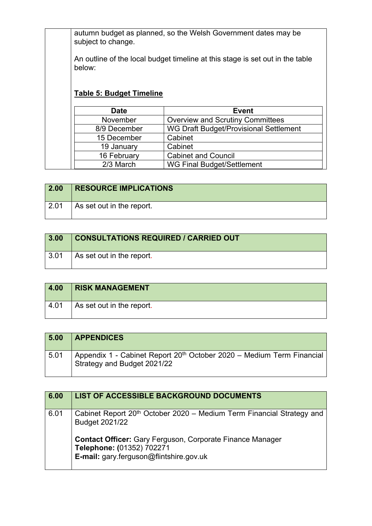autumn budget as planned, so the Welsh Government dates may be subject to change.

An outline of the local budget timeline at this stage is set out in the table below:

# **Table 5: Budget Timeline**

| <b>Date</b>  | <b>Event</b>                            |
|--------------|-----------------------------------------|
| November     | <b>Overview and Scrutiny Committees</b> |
| 8/9 December | WG Draft Budget/Provisional Settlement  |
| 15 December  | Cabinet                                 |
| 19 January   | Cabinet                                 |
| 16 February  | <b>Cabinet and Council</b>              |
| 2/3 March    | <b>WG Final Budget/Settlement</b>       |

| $\vert$ 2.00  | <b>RESOURCE IMPLICATIONS</b> |
|---------------|------------------------------|
| $\sqrt{2.01}$ | As set out in the report.    |

| 3.00               | <b>CONSULTATIONS REQUIRED / CARRIED OUT</b> |
|--------------------|---------------------------------------------|
| $\vert 3.01 \vert$ | As set out in the report.                   |

| 4.00 | <b>RISK MANAGEMENT</b>    |
|------|---------------------------|
| 4.01 | As set out in the report. |

| 5.00 | <b>APPENDICES</b>                                                                                                |
|------|------------------------------------------------------------------------------------------------------------------|
| 5.01 | Appendix 1 - Cabinet Report 20 <sup>th</sup> October 2020 - Medium Term Financial<br>Strategy and Budget 2021/22 |

| 6.00 | LIST OF ACCESSIBLE BACKGROUND DOCUMENTS                                                                                                                                                                                                                |
|------|--------------------------------------------------------------------------------------------------------------------------------------------------------------------------------------------------------------------------------------------------------|
| 6.01 | Cabinet Report 20 <sup>th</sup> October 2020 – Medium Term Financial Strategy and<br><b>Budget 2021/22</b><br><b>Contact Officer:</b> Gary Ferguson, Corporate Finance Manager<br>Telephone: (01352) 702271<br>E-mail: gary.ferguson@flintshire.gov.uk |